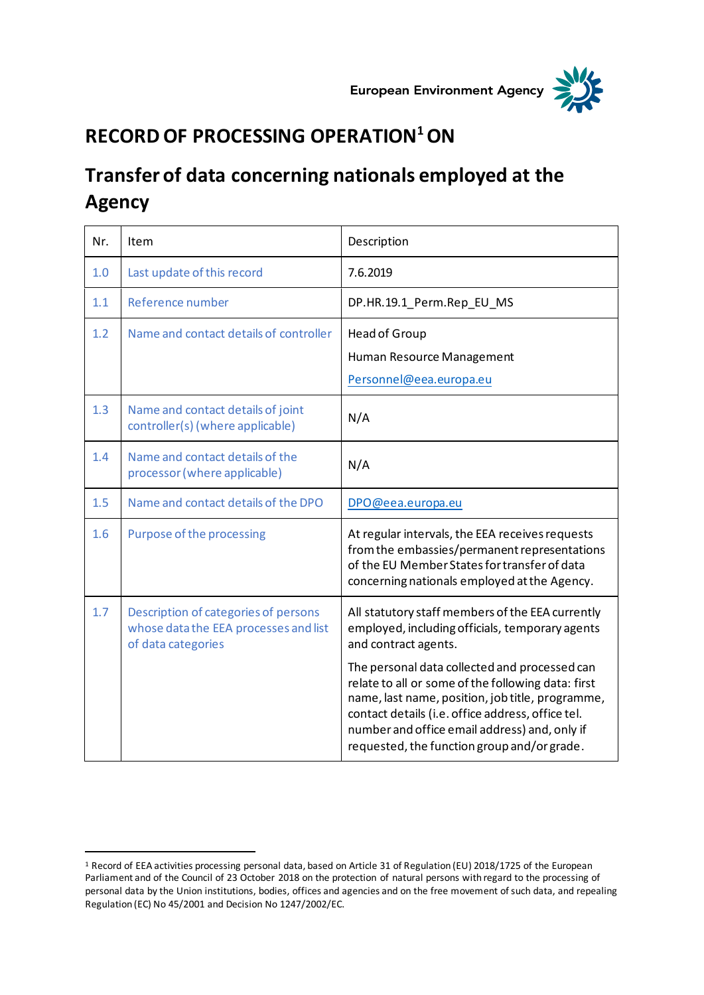



## **RECORD OF PROCESSING OPERATION<sup>1</sup>ON**

## **Transfer of data concerning nationals employed at the Agency**

| Nr. | Item                                                                                                | Description                                                                                                                                                                                                                                                                                                  |
|-----|-----------------------------------------------------------------------------------------------------|--------------------------------------------------------------------------------------------------------------------------------------------------------------------------------------------------------------------------------------------------------------------------------------------------------------|
| 1.0 | Last update of this record                                                                          | 7.6.2019                                                                                                                                                                                                                                                                                                     |
| 1.1 | Reference number                                                                                    | DP.HR.19.1_Perm.Rep_EU_MS                                                                                                                                                                                                                                                                                    |
| 1.2 | Name and contact details of controller                                                              | Head of Group<br>Human Resource Management<br>Personnel@eea.europa.eu                                                                                                                                                                                                                                        |
| 1.3 | Name and contact details of joint<br>controller(s) (where applicable)                               | N/A                                                                                                                                                                                                                                                                                                          |
| 1.4 | Name and contact details of the<br>processor (where applicable)                                     | N/A                                                                                                                                                                                                                                                                                                          |
| 1.5 | Name and contact details of the DPO                                                                 | DPO@eea.europa.eu                                                                                                                                                                                                                                                                                            |
| 1.6 | Purpose of the processing                                                                           | At regular intervals, the EEA receives requests<br>from the embassies/permanent representations<br>of the EU Member States for transfer of data<br>concerning nationals employed at the Agency.                                                                                                              |
| 1.7 | Description of categories of persons<br>whose data the EEA processes and list<br>of data categories | All statutory staff members of the EEA currently<br>employed, including officials, temporary agents<br>and contract agents.                                                                                                                                                                                  |
|     |                                                                                                     | The personal data collected and processed can<br>relate to all or some of the following data: first<br>name, last name, position, job title, programme,<br>contact details (i.e. office address, office tel.<br>number and office email address) and, only if<br>requested, the function group and/or grade. |

<sup>1</sup> Record of EEA activities processing personal data, based on Article 31 of Regulation (EU) 2018/1725 of the European Parliament and of the Council of 23 October 2018 on the protection of natural persons with regard to the processing of personal data by the Union institutions, bodies, offices and agencies and on the free movement of such data, and repealing Regulation (EC) No 45/2001 and Decision No 1247/2002/EC.